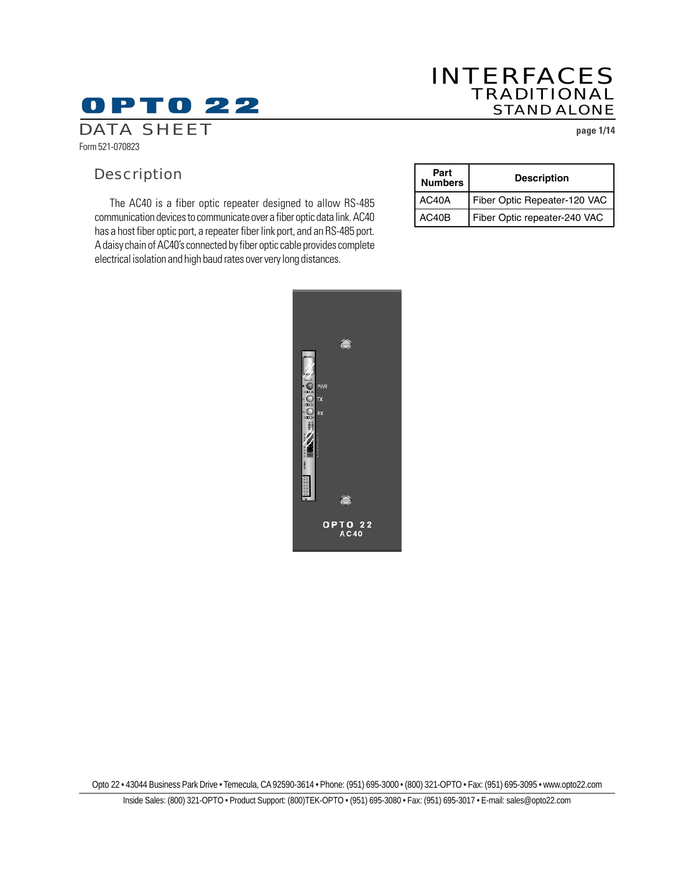### INTERFACES TRADITIONAL STAND ALONE

## DATA SHEET **page 1/14**

**OPTO 22** 

Form 521-070823

## **Description**

The AC40 is a fiber optic repeater designed to allow RS-485 communication devices to communicate over a fiber optic data link. AC40 has a host fiber optic port, a repeater fiber link port, and an RS-485 port. A daisy chain of AC40's connected by fiber optic cable provides complete electrical isolation and high baud rates over very long distances.

| Part<br><b>Numbers</b> | <b>Description</b>           |
|------------------------|------------------------------|
| AC40A                  | Fiber Optic Repeater-120 VAC |
| AC40B                  | Fiber Optic repeater-240 VAC |

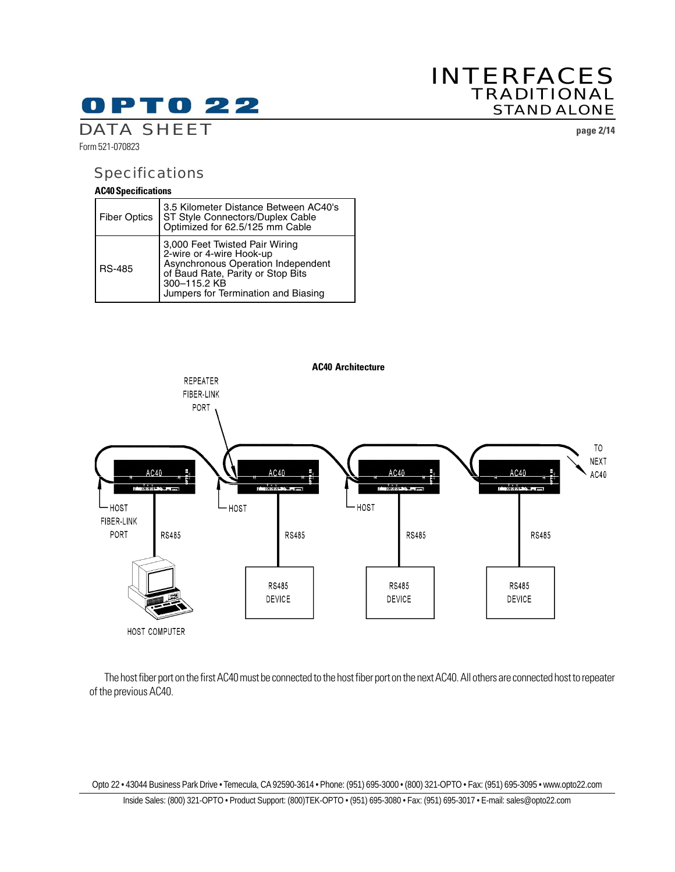## INTERFACES TRADITIONAL STAND ALONE

DATA SHEET **page 2/14**

Form 521-070823

### Specifications

#### **AC40 Specifications**

| <b>Fiber Optics</b> | 3.5 Kilometer Distance Between AC40's<br>ST Style Connectors/Duplex Cable<br>Optimized for 62.5/125 mm Cable                                                                                 |
|---------------------|----------------------------------------------------------------------------------------------------------------------------------------------------------------------------------------------|
| <b>RS-485</b>       | 3,000 Feet Twisted Pair Wiring<br>2-wire or 4-wire Hook-up<br>Asynchronous Operation Independent<br>of Baud Rate, Parity or Stop Bits<br>300-115.2 KB<br>Jumpers for Termination and Biasing |



The host fiber port on the first AC40 must be connected to the host fiber port on the next AC40. All others are connected host to repeater of the previous AC40.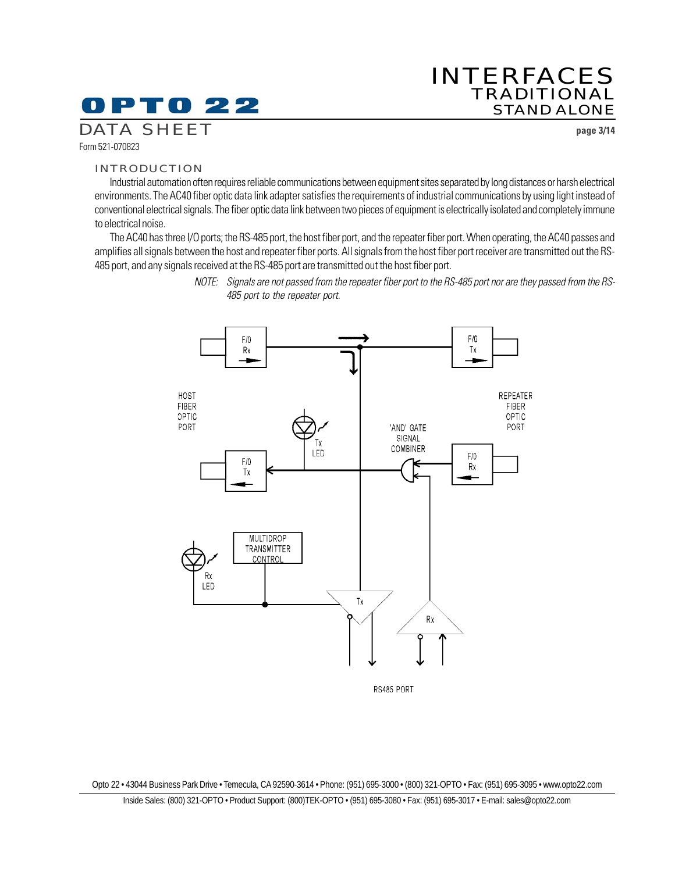## 0 P T 0 22

### INTERFACES TRADITIONAL STAND ALONE

DATA SHEET **page 3/14**

Form 521-070823

#### INTRODUCTION

Industrial automation often requires reliable communications between equipment sites separated by long distances or harsh electrical environments. The AC40 fiber optic data link adapter satisfies the requirements of industrial communications by using light instead of conventional electrical signals. The fiber optic data link between two pieces of equipment is electrically isolated and completely immune to electrical noise.

The AC40 has three I/O ports; the RS-485 port, the host fiber port, and the repeater fiber port. When operating, the AC40 passes and amplifies all signals between the host and repeater fiber ports. All signals from the host fiber port receiver are transmitted out the RS-485 port, and any signals received at the RS-485 port are transmitted out the host fiber port.



NOTE: Signals are not passed from the repeater fiber port to the RS-485 port nor are they passed from the RS-485 port to the repeater port.

RS485 PORT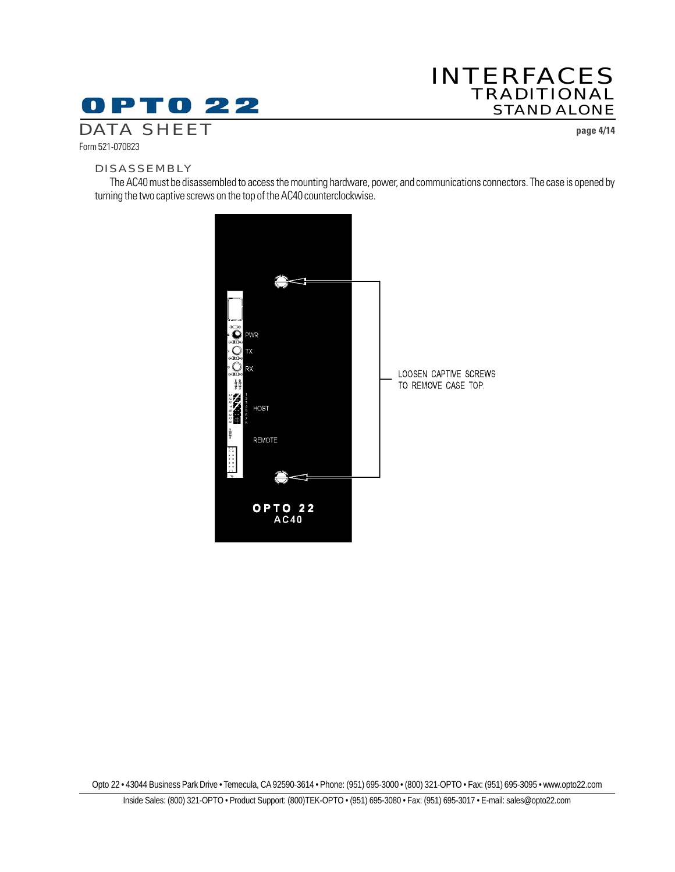### INTERFACES TRADITIONAL STAND ALONE

DATA SHEET **page 4/14**

Form 521-070823

#### DISASSEMBLY

The AC40 must be disassembled to access the mounting hardware, power, and communications connectors. The case is opened by turning the two captive screws on the top of the AC40 counterclockwise.

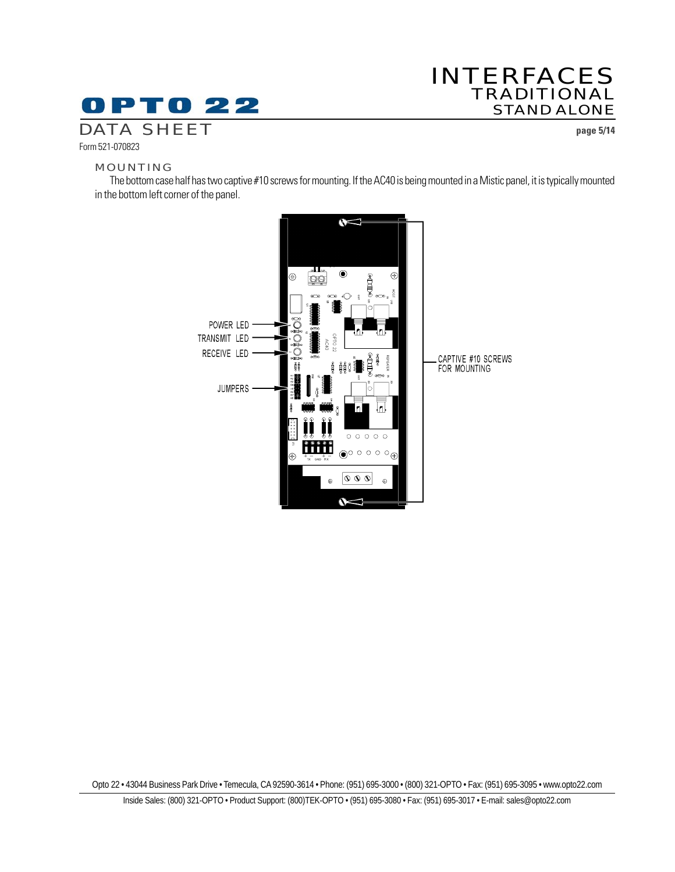## INTERFACES TRADITIONAL STAND ALONE

DATA SHEET **page 5/14**

#### MOUNTING

Form 521-070823

The bottom case half has two captive #10 screws for mounting. If the AC40 is being mounted in a Mistic panel, it is typically mounted in the bottom left corner of the panel.

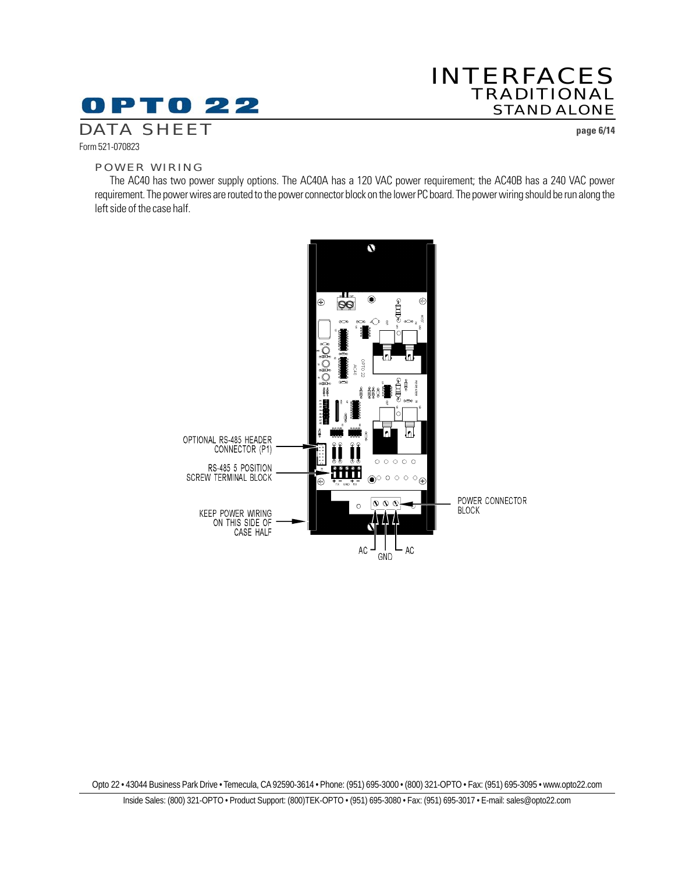## INTERFACES TRADITIONAL STAND ALONE

DATA SHEET **page 6/14**

#### Form 521-070823

#### POWER WIRING

The AC40 has two power supply options. The AC40A has a 120 VAC power requirement; the AC40B has a 240 VAC power requirement. The power wires are routed to the power connector block on the lower PC board. The power wiring should be run along the left side of the case half.

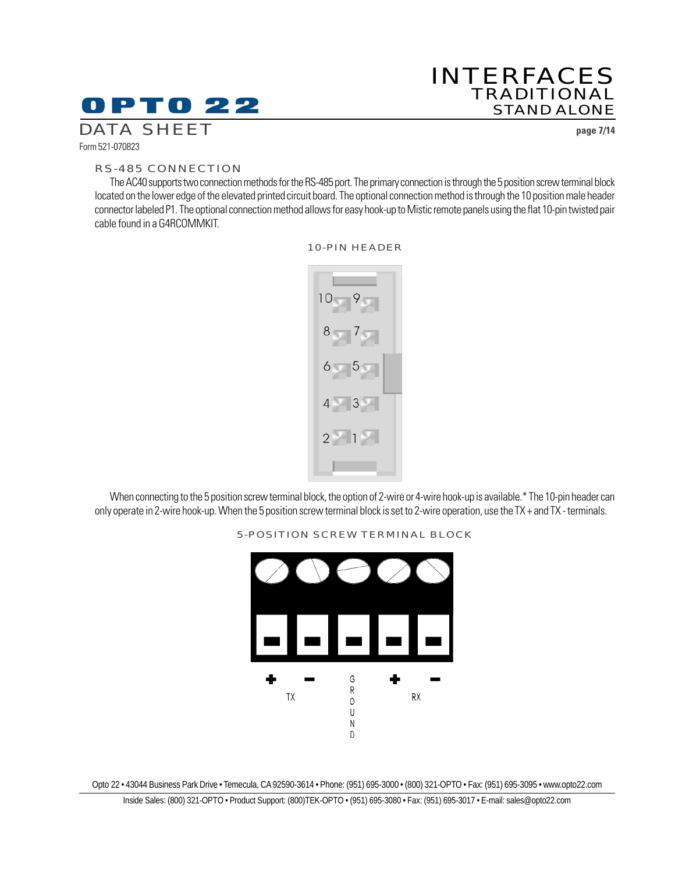### INTERFACES TRADITIONAL STAND ALONE

DATA SHEET **page 7/14**

Form 521-070823

#### RS-485 CONNECTION

The AC40 supports two connection methods for the RS-485 port. The primary connection is through the 5 position screw terminal block located on the lower edge of the elevated printed circuit board. The optional connection method is through the 10 position male header connector labeled P1. The optional connection method allows for easy hook-up to Mistic remote panels using the flat 10-pin twisted pair cable found in a G4RCOMMKIT.



#### 10-PIN HEADER

When connecting to the 5 position screw terminal block, the option of 2-wire or 4-wire hook-up is available.\* The 10-pin header can only operate in 2-wire hook-up. When the 5 position screw terminal block is set to 2-wire operation, use the TX + and TX - terminals.



#### 5-POSITION SCREW TERMINAL BLOCK

Opto 22 • 43044 Business Park Drive • Temecula, CA 92590-3614 • Phone: (951) 695-3000 • (800) 321-OPTO • Fax: (951) 695-3095 • www.opto22.com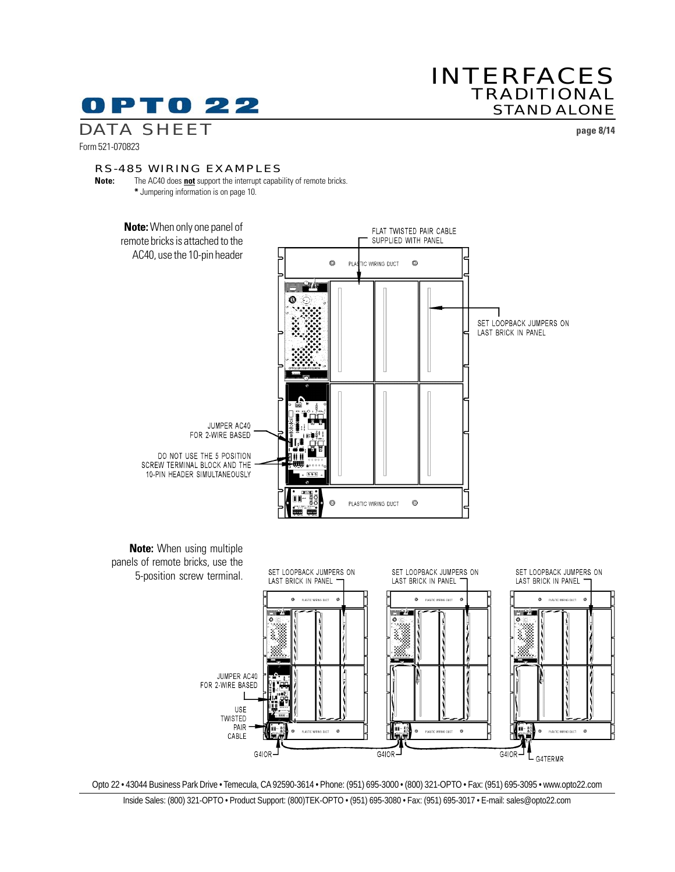### INTERFACES TRADITIONAL STAND ALONE

DATA SHEET **page 8/14**

Form 521-070823

#### RS-485 WIRING EXAMPLES

**Note:** The AC40 does **not** support the interrupt capability of remote bricks. **\*** Jumpering information is on page 10.



Opto 22 • 43044 Business Park Drive • Temecula, CA 92590-3614 • Phone: (951) 695-3000 • (800) 321-OPTO • Fax: (951) 695-3095 • www.opto22.com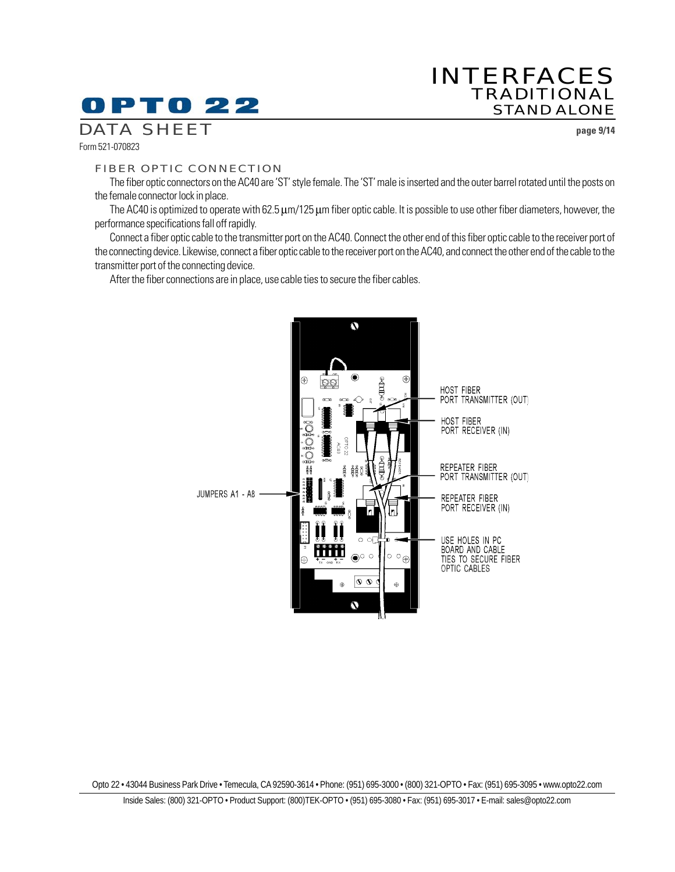# 0 P T 0 22

### INTERFACES TRADITIONAL STAND ALONE

DATA SHEET **page 9/14**

Form 521-070823

#### FIBER OPTIC CONNECTION

The fiber optic connectors on the AC40 are 'ST' style female. The 'ST' male is inserted and the outer barrel rotated until the posts on the female connector lock in place.

The AC40 is optimized to operate with 62.5  $\mu$ m/125  $\mu$ m fiber optic cable. It is possible to use other fiber diameters, however, the performance specifications fall off rapidly.

Connect a fiber optic cable to the transmitter port on the AC40. Connect the other end of this fiber optic cable to the receiver port of the connecting device. Likewise, connect a fiber optic cable to the receiver port on the AC40, and connect the other end of the cable to the transmitter port of the connecting device.

After the fiber connections are in place, use cable ties to secure the fiber cables.

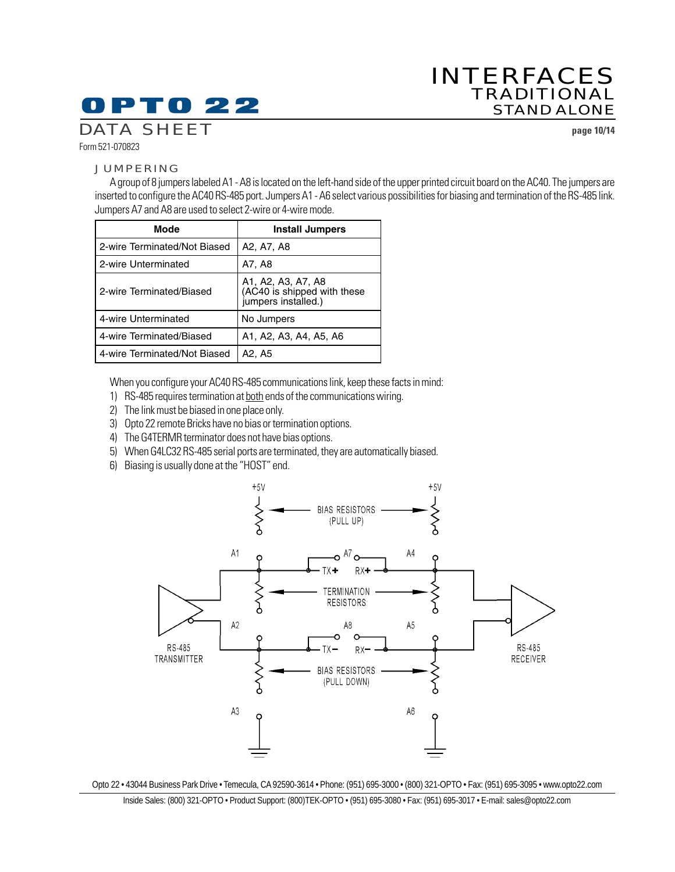## 0 P T 0 22

## INTERFACES TRADITIONAL STAND ALONE

DATA SHEET **page 10/14**

Form 521-070823

#### JUMPERING

A group of 8 jumpers labeled A1 - A8 is located on the left-hand side of the upper printed circuit board on the AC40. The jumpers are inserted to configure the AC40 RS-485 port. Jumpers A1 - A6 select various possibilities for biasing and termination of the RS-485 link. Jumpers A7 and A8 are used to select 2-wire or 4-wire mode.

| <b>Mode</b>                  | <b>Install Jumpers</b>                                                   |
|------------------------------|--------------------------------------------------------------------------|
| 2-wire Terminated/Not Biased | A2, A7, A8                                                               |
| 2-wire Unterminated          | A7, A8                                                                   |
| 2-wire Terminated/Biased     | A1, A2, A3, A7, A8<br>(AC40 is shipped with these<br>jumpers installed.) |
| 4-wire Unterminated          | No Jumpers                                                               |
| 4-wire Terminated/Biased     | A1, A2, A3, A4, A5, A6                                                   |
| 4-wire Terminated/Not Biased | A2, A5                                                                   |

When you configure your AC40 RS-485 communications link, keep these facts in mind:

- 1) RS-485 requires termination at both ends of the communications wiring.
- 2) The link must be biased in one place only.
- 3) Opto 22 remote Bricks have no bias or termination options.
- 4) The G4TERMR terminator does not have bias options.
- 5) When G4LC32 RS-485 serial ports are terminated, they are automatically biased.
- 6) Biasing is usually done at the "HOST" end.



Opto 22 • 43044 Business Park Drive • Temecula, CA 92590-3614 • Phone: (951) 695-3000 • (800) 321-OPTO • Fax: (951) 695-3095 • www.opto22.com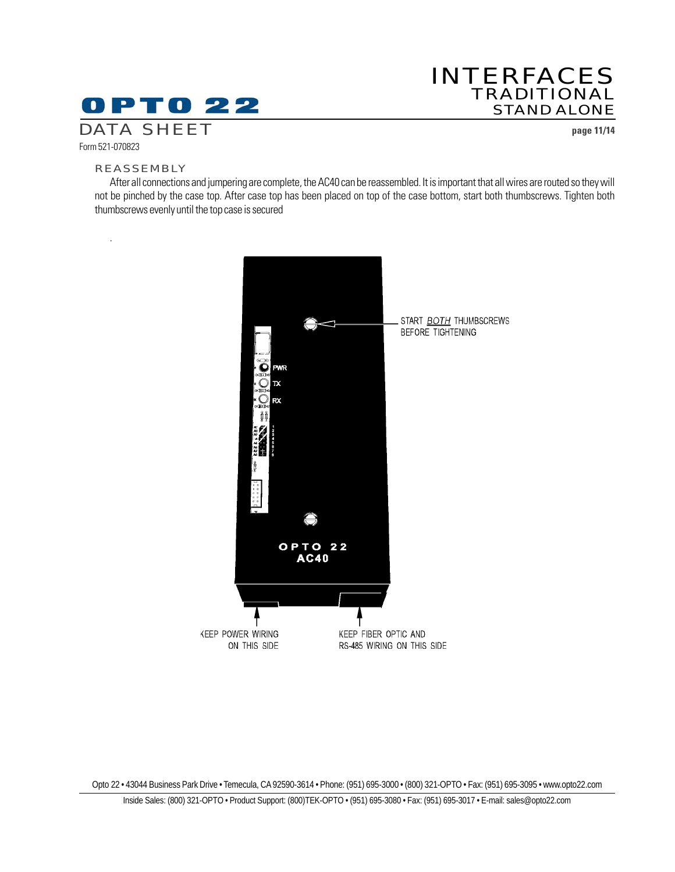## INTERFACES TRADITIONAL STAND ALONE

DATA SHEET **page 11/14**

#### REASSEMBLY

Form 521-070823

.

After all connections and jumpering are complete, the AC40 can be reassembled. It is important that all wires are routed so they will not be pinched by the case top. After case top has been placed on top of the case bottom, start both thumbscrews. Tighten both thumbscrews evenly until the top case is secured

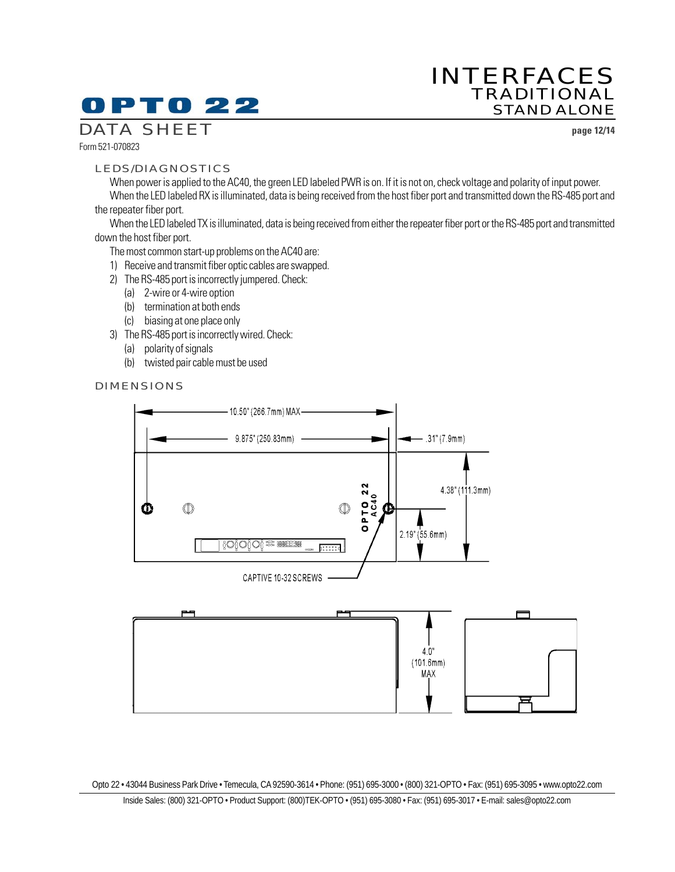## INTERFACES TRADITIONAL STAND ALONE

DATA SHEET **page 12/14**

Form 521-070823

#### LEDS/DIAGNOSTICS

When power is applied to the AC40, the green LED labeled PWR is on. If it is not on, check voltage and polarity of input power. When the LED labeled RX is illuminated, data is being received from the host fiber port and transmitted down the RS-485 port and

the repeater fiber port.

When the LED labeled TX is illuminated, data is being received from either the repeater fiber port or the RS-485 port and transmitted down the host fiber port.

The most common start-up problems on the AC40 are:

- 1) Receive and transmit fiber optic cables are swapped.
- 2) The RS-485 port is incorrectly jumpered. Check:
	- (a) 2-wire or 4-wire option
	- (b) termination at both ends
	- (c) biasing at one place only
- 3) The RS-485 port is incorrectly wired. Check:
	- (a) polarity of signals
	- (b) twisted pair cable must be used

#### DIMENSIONS

![](_page_11_Figure_18.jpeg)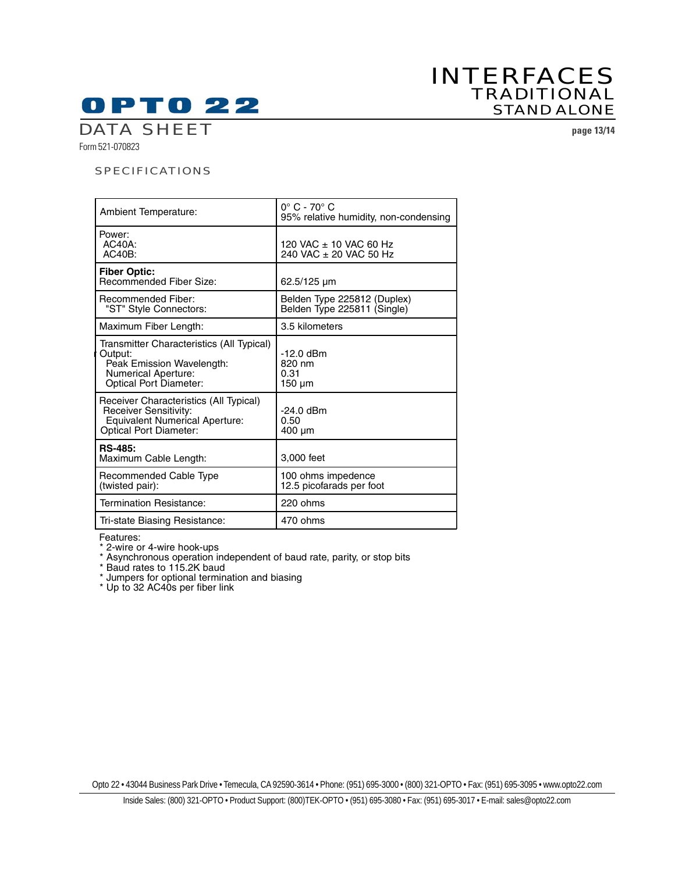### INTERFACES TRADITIONAL STAND ALONE

DATA SHEET **page 13/14**

Form 521-070823

#### SPECIFICATIONS

| Ambient Temperature:                                                                                                                             | $0^\circ$ C - 70 $^\circ$ C<br>95% relative humidity, non-condensing |
|--------------------------------------------------------------------------------------------------------------------------------------------------|----------------------------------------------------------------------|
| Power:<br>$AC40A$ :<br>$AC40B$ :                                                                                                                 | 120 VAC ± 10 VAC 60 Hz<br>240 VAC ± 20 VAC 50 Hz                     |
| <b>Fiber Optic:</b><br><b>Recommended Fiber Size:</b>                                                                                            | $62.5/125 \mu m$                                                     |
| Recommended Fiber:<br>"ST" Style Connectors:                                                                                                     | Belden Type 225812 (Duplex)<br>Belden Type 225811 (Single)           |
| Maximum Fiber Length:                                                                                                                            | 3.5 kilometers                                                       |
| Transmitter Characteristics (All Typical)<br>Output:<br>Peak Emission Wavelength:<br><b>Numerical Aperture:</b><br><b>Optical Port Diameter:</b> | $-12.0$ dBm<br>820 nm<br>0.31<br>$150 \mu m$                         |
| Receiver Characteristics (All Typical)<br>Receiver Sensitivity:<br><b>Equivalent Numerical Aperture:</b><br><b>Optical Port Diameter:</b>        | -24.0 dBm<br>0.50<br>400 um                                          |
| <b>RS-485:</b><br>Maximum Cable Length:                                                                                                          | 3,000 feet                                                           |
| Recommended Cable Type<br>(twisted pair):                                                                                                        | 100 ohms impedence<br>12.5 picofarads per foot                       |
| Termination Resistance:                                                                                                                          | 220 ohms                                                             |
| Tri-state Biasing Resistance:                                                                                                                    | 470 ohms                                                             |

Features:

\* 2-wire or 4-wire hook-ups

\* Asynchronous operation independent of baud rate, parity, or stop bits

\* Baud rates to 115.2K baud

\* Jumpers for optional termination and biasing

\* Up to 32 AC40s per fiber link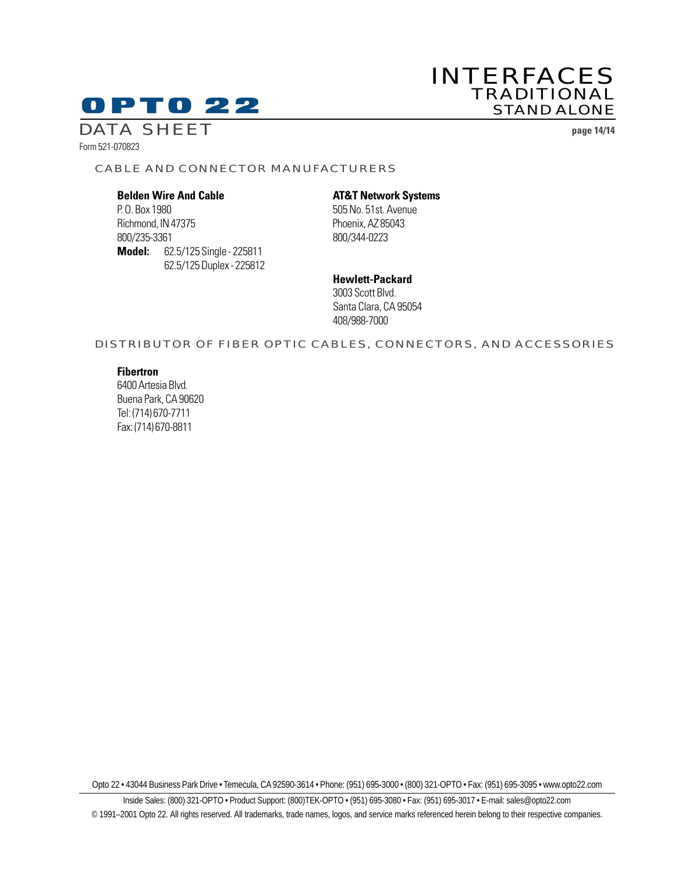### INTERFACES TRADITIONAL STAND ALONE

DATA SHEET **page 14/14**

Form 521-070823

#### CABLE AND CONNECTOR MANUFACTURERS

P. O. Box 1980 505 No. 51st. Avenue Richmond, IN 47375 Phoenix, AZ 85043 800/235-3361 800/344-0223 **Model:** 62.5/125 Single - 225811 62.5/125 Duplex - 225812

#### **Belden Wire And Cable AT&T Network Systems**

**Hewlett-Packard** 3003 Scott Blvd. Santa Clara, CA 95054 408/988-7000

#### DISTRIBUTOR OF FIBER OPTIC CABLES, CONNECTORS, AND ACCESSORIES

#### **Fibertron**

6400 Artesia Blvd. Buena Park, CA 90620 Tel: (714) 670-7711 Fax: (714) 670-8811